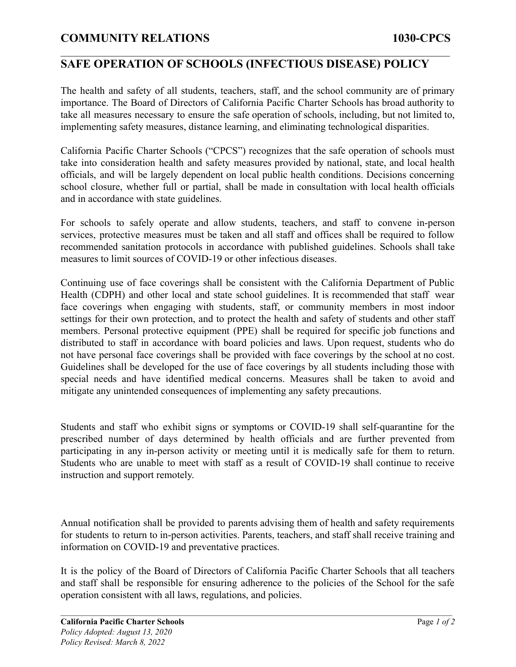## **COMMUNITY RELATIONS 1030-CPCS**

#### **SAFE OPERATION OF SCHOOLS (INFECTIOUS DISEASE) POLICY**

 $\mathcal{L}_\mathcal{L} = \{ \mathcal{L}_\mathcal{L} = \{ \mathcal{L}_\mathcal{L} = \{ \mathcal{L}_\mathcal{L} = \{ \mathcal{L}_\mathcal{L} = \{ \mathcal{L}_\mathcal{L} = \{ \mathcal{L}_\mathcal{L} = \{ \mathcal{L}_\mathcal{L} = \{ \mathcal{L}_\mathcal{L} = \{ \mathcal{L}_\mathcal{L} = \{ \mathcal{L}_\mathcal{L} = \{ \mathcal{L}_\mathcal{L} = \{ \mathcal{L}_\mathcal{L} = \{ \mathcal{L}_\mathcal{L} = \{ \mathcal{L}_\mathcal{$ 

The health and safety of all students, teachers, staff, and the school community are of primary importance. The Board of Directors of California Pacific Charter Schools has broad authority to take all measures necessary to ensure the safe operation of schools, including, but not limited to, implementing safety measures, distance learning, and eliminating technological disparities.

California Pacific Charter Schools ("CPCS") recognizes that the safe operation of schools must take into consideration health and safety measures provided by national, state, and local health officials, and will be largely dependent on local public health conditions. Decisions concerning school closure, whether full or partial, shall be made in consultation with local health officials and in accordance with state guidelines.

For schools to safely operate and allow students, teachers, and staff to convene in-person services, protective measures must be taken and all staff and offices shall be required to follow recommended sanitation protocols in accordance with published guidelines. Schools shall take measures to limit sources of COVID-19 or other infectious diseases.

Continuing use of face coverings shall be consistent with the California Department of Public Health (CDPH) and other local and state school guidelines. It is recommended that staff wear face coverings when engaging with students, staff, or community members in most indoor settings for their own protection, and to protect the health and safety of students and other staff members. Personal protective equipment (PPE) shall be required for specific job functions and distributed to staff in accordance with board policies and laws. Upon request, students who do not have personal face coverings shall be provided with face coverings by the school at no cost. Guidelines shall be developed for the use of face coverings by all students including those with special needs and have identified medical concerns. Measures shall be taken to avoid and mitigate any unintended consequences of implementing any safety precautions.

Students and staff who exhibit signs or symptoms or COVID-19 shall self-quarantine for the prescribed number of days determined by health officials and are further prevented from participating in any in-person activity or meeting until it is medically safe for them to return. Students who are unable to meet with staff as a result of COVID-19 shall continue to receive instruction and support remotely.

Annual notification shall be provided to parents advising them of health and safety requirements for students to return to in-person activities. Parents, teachers, and staff shall receive training and information on COVID-19 and preventative practices.

It is the policy of the Board of Directors of California Pacific Charter Schools that all teachers and staff shall be responsible for ensuring adherence to the policies of the School for the safe operation consistent with all laws, regulations, and policies.